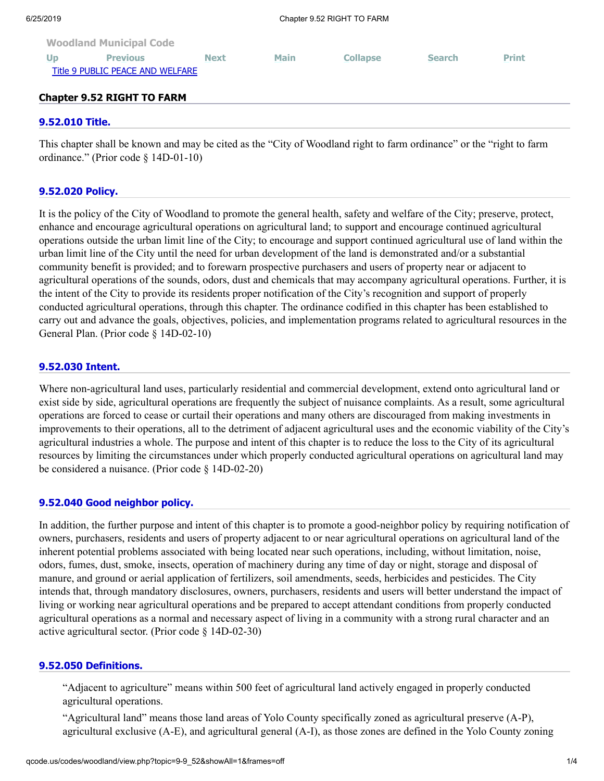| 6/25/2019 |                                                     |             | Chapter 9.52 RIGHT TO FARM |                 |               |              |  |
|-----------|-----------------------------------------------------|-------------|----------------------------|-----------------|---------------|--------------|--|
|           | <b>Woodland Municipal Code</b>                      |             |                            |                 |               |              |  |
| Up        | <b>Previous</b><br>Title 9 PUBLIC PEACE AND WELFARE | <b>Next</b> | <b>Main</b>                | <b>Collapse</b> | <b>Search</b> | <b>Print</b> |  |
|           |                                                     |             |                            |                 |               |              |  |

# **Chapter 9.52 RIGHT TO FARM**

## **[9.52.010 Title.](http://qcode.us/codes/woodland/view.php?topic=9-9_52-9_52_010&frames=off)**

This chapter shall be known and may be cited as the "City of Woodland right to farm ordinance" or the "right to farm ordinance." (Prior code § 14D-01-10)

### **[9.52.020 Policy.](http://qcode.us/codes/woodland/view.php?topic=9-9_52-9_52_020&frames=off)**

It is the policy of the City of Woodland to promote the general health, safety and welfare of the City; preserve, protect, enhance and encourage agricultural operations on agricultural land; to support and encourage continued agricultural operations outside the urban limit line of the City; to encourage and support continued agricultural use of land within the urban limit line of the City until the need for urban development of the land is demonstrated and/or a substantial community benefit is provided; and to forewarn prospective purchasers and users of property near or adjacent to agricultural operations of the sounds, odors, dust and chemicals that may accompany agricultural operations. Further, it is the intent of the City to provide its residents proper notification of the City's recognition and support of properly conducted agricultural operations, through this chapter. The ordinance codified in this chapter has been established to carry out and advance the goals, objectives, policies, and implementation programs related to agricultural resources in the General Plan. (Prior code § 14D-02-10)

## **[9.52.030 Intent.](http://qcode.us/codes/woodland/view.php?topic=9-9_52-9_52_030&frames=off)**

Where non-agricultural land uses, particularly residential and commercial development, extend onto agricultural land or exist side by side, agricultural operations are frequently the subject of nuisance complaints. As a result, some agricultural operations are forced to cease or curtail their operations and many others are discouraged from making investments in improvements to their operations, all to the detriment of adjacent agricultural uses and the economic viability of the City's agricultural industries a whole. The purpose and intent of this chapter is to reduce the loss to the City of its agricultural resources by limiting the circumstances under which properly conducted agricultural operations on agricultural land may be considered a nuisance. (Prior code § 14D-02-20)

### **[9.52.040 Good neighbor policy.](http://qcode.us/codes/woodland/view.php?topic=9-9_52-9_52_040&frames=off)**

In addition, the further purpose and intent of this chapter is to promote a good-neighbor policy by requiring notification of owners, purchasers, residents and users of property adjacent to or near agricultural operations on agricultural land of the inherent potential problems associated with being located near such operations, including, without limitation, noise, odors, fumes, dust, smoke, insects, operation of machinery during any time of day or night, storage and disposal of manure, and ground or aerial application of fertilizers, soil amendments, seeds, herbicides and pesticides. The City intends that, through mandatory disclosures, owners, purchasers, residents and users will better understand the impact of living or working near agricultural operations and be prepared to accept attendant conditions from properly conducted agricultural operations as a normal and necessary aspect of living in a community with a strong rural character and an active agricultural sector. (Prior code § 14D-02-30)

### **[9.52.050 Definitions.](http://qcode.us/codes/woodland/view.php?topic=9-9_52-9_52_050&frames=off)**

"Adjacent to agriculture" means within 500 feet of agricultural land actively engaged in properly conducted agricultural operations.

"Agricultural land" means those land areas of Yolo County specifically zoned as agricultural preserve (A-P), agricultural exclusive (A-E), and agricultural general (A-I), as those zones are defined in the Yolo County zoning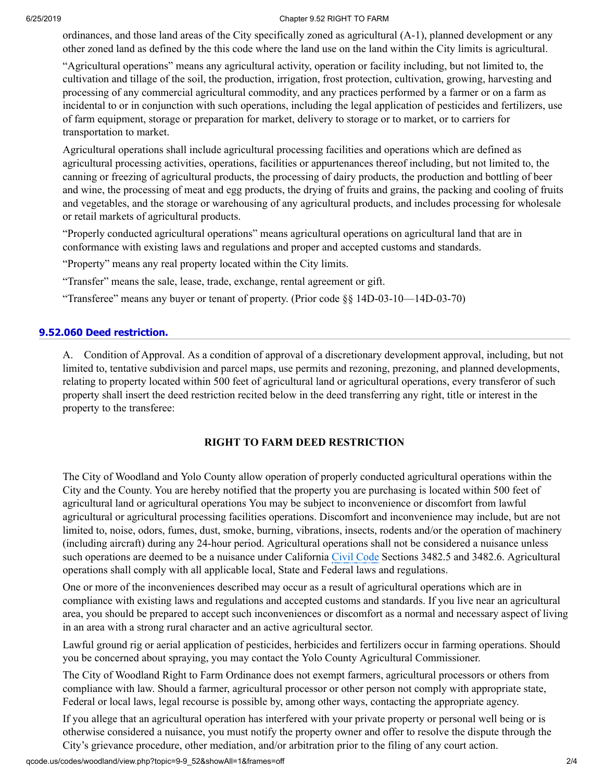#### 6/25/2019 Chapter 9.52 RIGHT TO FARM

ordinances, and those land areas of the City specifically zoned as agricultural (A-1), planned development or any other zoned land as defined by the this code where the land use on the land within the City limits is agricultural.

"Agricultural operations" means any agricultural activity, operation or facility including, but not limited to, the cultivation and tillage of the soil, the production, irrigation, frost protection, cultivation, growing, harvesting and processing of any commercial agricultural commodity, and any practices performed by a farmer or on a farm as incidental to or in conjunction with such operations, including the legal application of pesticides and fertilizers, use of farm equipment, storage or preparation for market, delivery to storage or to market, or to carriers for transportation to market.

Agricultural operations shall include agricultural processing facilities and operations which are defined as agricultural processing activities, operations, facilities or appurtenances thereof including, but not limited to, the canning or freezing of agricultural products, the processing of dairy products, the production and bottling of beer and wine, the processing of meat and egg products, the drying of fruits and grains, the packing and cooling of fruits and vegetables, and the storage or warehousing of any agricultural products, and includes processing for wholesale or retail markets of agricultural products.

"Properly conducted agricultural operations" means agricultural operations on agricultural land that are in conformance with existing laws and regulations and proper and accepted customs and standards.

"Property" means any real property located within the City limits.

"Transfer" means the sale, lease, trade, exchange, rental agreement or gift.

"Transferee" means any buyer or tenant of property. (Prior code §§ 14D-03-10—14D-03-70)

## **[9.52.060 Deed restriction.](http://qcode.us/codes/woodland/view.php?topic=9-9_52-9_52_060&frames=off)**

A. Condition of Approval. As a condition of approval of a discretionary development approval, including, but not limited to, tentative subdivision and parcel maps, use permits and rezoning, prezoning, and planned developments, relating to property located within 500 feet of agricultural land or agricultural operations, every transferor of such property shall insert the deed restriction recited below in the deed transferring any right, title or interest in the property to the transferee:

## **RIGHT TO FARM DEED RESTRICTION**

The City of Woodland and Yolo County allow operation of properly conducted agricultural operations within the City and the County. You are hereby notified that the property you are purchasing is located within 500 feet of agricultural land or agricultural operations You may be subject to inconvenience or discomfort from lawful agricultural or agricultural processing facilities operations. Discomfort and inconvenience may include, but are not limited to, noise, odors, fumes, dust, smoke, burning, vibrations, insects, rodents and/or the operation of machinery (including aircraft) during any 24-hour period. Agricultural operations shall not be considered a nuisance unless such operations are deemed to be a nuisance under California [Civil Code](http://qcode.us/codes/othercode.php?state=ca&code=civ) Sections 3482.5 and 3482.6. Agricultural operations shall comply with all applicable local, State and Federal laws and regulations.

One or more of the inconveniences described may occur as a result of agricultural operations which are in compliance with existing laws and regulations and accepted customs and standards. If you live near an agricultural area, you should be prepared to accept such inconveniences or discomfort as a normal and necessary aspect of living in an area with a strong rural character and an active agricultural sector.

Lawful ground rig or aerial application of pesticides, herbicides and fertilizers occur in farming operations. Should you be concerned about spraying, you may contact the Yolo County Agricultural Commissioner.

The City of Woodland Right to Farm Ordinance does not exempt farmers, agricultural processors or others from compliance with law. Should a farmer, agricultural processor or other person not comply with appropriate state, Federal or local laws, legal recourse is possible by, among other ways, contacting the appropriate agency.

If you allege that an agricultural operation has interfered with your private property or personal well being or is otherwise considered a nuisance, you must notify the property owner and offer to resolve the dispute through the City's grievance procedure, other mediation, and/or arbitration prior to the filing of any court action.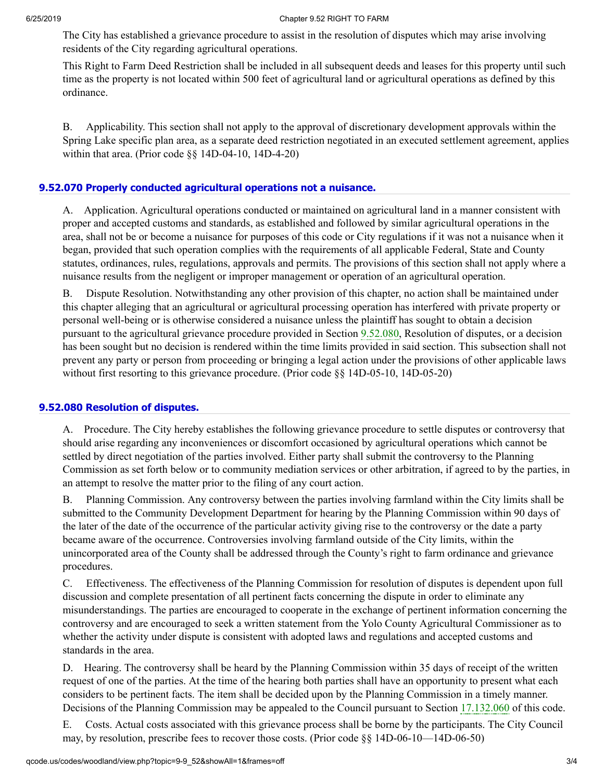The City has established a grievance procedure to assist in the resolution of disputes which may arise involving residents of the City regarding agricultural operations.

This Right to Farm Deed Restriction shall be included in all subsequent deeds and leases for this property until such time as the property is not located within 500 feet of agricultural land or agricultural operations as defined by this ordinance.

B. Applicability. This section shall not apply to the approval of discretionary development approvals within the Spring Lake specific plan area, as a separate deed restriction negotiated in an executed settlement agreement, applies within that area. (Prior code §§ 14D-04-10, 14D-4-20)

# **[9.52.070 Properly conducted agricultural operations not a nuisance.](http://qcode.us/codes/woodland/view.php?topic=9-9_52-9_52_070&frames=off)**

A. Application. Agricultural operations conducted or maintained on agricultural land in a manner consistent with proper and accepted customs and standards, as established and followed by similar agricultural operations in the area, shall not be or become a nuisance for purposes of this code or City regulations if it was not a nuisance when it began, provided that such operation complies with the requirements of all applicable Federal, State and County statutes, ordinances, rules, regulations, approvals and permits. The provisions of this section shall not apply where a nuisance results from the negligent or improper management or operation of an agricultural operation.

B. Dispute Resolution. Notwithstanding any other provision of this chapter, no action shall be maintained under this chapter alleging that an agricultural or agricultural processing operation has interfered with private property or personal well-being or is otherwise considered a nuisance unless the plaintiff has sought to obtain a decision pursuant to the agricultural grievance procedure provided in Section [9.52.080,](http://qcode.us/codes/woodland/view.php?cite=section_9.52.080&confidence=6) Resolution of disputes, or a decision has been sought but no decision is rendered within the time limits provided in said section. This subsection shall not prevent any party or person from proceeding or bringing a legal action under the provisions of other applicable laws without first resorting to this grievance procedure. (Prior code §§ 14D-05-10, 14D-05-20)

## **[9.52.080 Resolution of disputes.](http://qcode.us/codes/woodland/view.php?topic=9-9_52-9_52_080&frames=off)**

A. Procedure. The City hereby establishes the following grievance procedure to settle disputes or controversy that should arise regarding any inconveniences or discomfort occasioned by agricultural operations which cannot be settled by direct negotiation of the parties involved. Either party shall submit the controversy to the Planning Commission as set forth below or to community mediation services or other arbitration, if agreed to by the parties, in an attempt to resolve the matter prior to the filing of any court action.

B. Planning Commission. Any controversy between the parties involving farmland within the City limits shall be submitted to the Community Development Department for hearing by the Planning Commission within 90 days of the later of the date of the occurrence of the particular activity giving rise to the controversy or the date a party became aware of the occurrence. Controversies involving farmland outside of the City limits, within the unincorporated area of the County shall be addressed through the County's right to farm ordinance and grievance procedures.

C. Effectiveness. The effectiveness of the Planning Commission for resolution of disputes is dependent upon full discussion and complete presentation of all pertinent facts concerning the dispute in order to eliminate any misunderstandings. The parties are encouraged to cooperate in the exchange of pertinent information concerning the controversy and are encouraged to seek a written statement from the Yolo County Agricultural Commissioner as to whether the activity under dispute is consistent with adopted laws and regulations and accepted customs and standards in the area.

D. Hearing. The controversy shall be heard by the Planning Commission within 35 days of receipt of the written request of one of the parties. At the time of the hearing both parties shall have an opportunity to present what each considers to be pertinent facts. The item shall be decided upon by the Planning Commission in a timely manner. Decisions of the Planning Commission may be appealed to the Council pursuant to Section [17.132.060](http://qcode.us/codes/woodland/view.php?cite=section_17.132.060&confidence=8) of this code.

E. Costs. Actual costs associated with this grievance process shall be borne by the participants. The City Council may, by resolution, prescribe fees to recover those costs. (Prior code §§ 14D-06-10—14D-06-50)